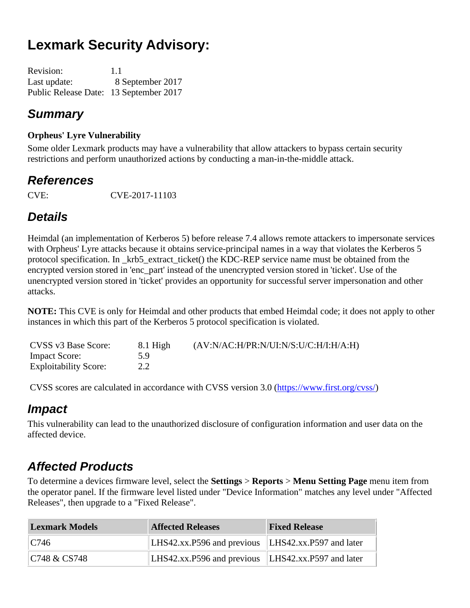# **Lexmark Security Advisory:**

| <b>Revision:</b>                       | 1.1              |
|----------------------------------------|------------------|
| Last update:                           | 8 September 2017 |
| Public Release Date: 13 September 2017 |                  |

#### *Summary*

#### **Orpheus' Lyre Vulnerability**

Some older Lexmark products may have a vulnerability that allow attackers to bypass certain security restrictions and perform unauthorized actions by conducting a man-in-the-middle attack.

#### *References*

CVE: CVE-2017-11103

#### *Details*

Heimdal (an implementation of Kerberos 5) before release 7.4 allows remote attackers to impersonate services with Orpheus' Lyre attacks because it obtains service-principal names in a way that violates the Kerberos 5 protocol specification. In \_krb5\_extract\_ticket() the KDC-REP service name must be obtained from the encrypted version stored in 'enc\_part' instead of the unencrypted version stored in 'ticket'. Use of the unencrypted version stored in 'ticket' provides an opportunity for successful server impersonation and other attacks.

**NOTE:** This CVE is only for Heimdal and other products that embed Heimdal code; it does not apply to other instances in which this part of the Kerberos 5 protocol specification is violated.

| CVSS v3 Base Score:          | 8.1 High | (AV:N/AC:H/PR:N/UI:N/S:U/C:H/I:H/A:H) |
|------------------------------|----------|---------------------------------------|
| <b>Impact Score:</b>         | 5.9      |                                       |
| <b>Exploitability Score:</b> | 2.2      |                                       |

CVSS scores are calculated in accordance with CVSS version 3.0 [\(https://www.first.org/cvss/\)](https://www.first.org/cvss/)

#### *Impact*

This vulnerability can lead to the unauthorized disclosure of configuration information and user data on the affected device.

### *Affected Products*

To determine a devices firmware level, select the **Settings** > **Reports** > **Menu Setting Page** menu item from the operator panel. If the firmware level listed under "Device Information" matches any level under "Affected Releases", then upgrade to a "Fixed Release".

| <b>Lexmark Models</b> | <b>Affected Releases</b>                           | <b>Fixed Release</b> |
|-----------------------|----------------------------------------------------|----------------------|
| C746                  | LHS42.xx.P596 and previous LHS42.xx.P597 and later |                      |
| C748 & CS748          | LHS42.xx.P596 and previous LHS42.xx.P597 and later |                      |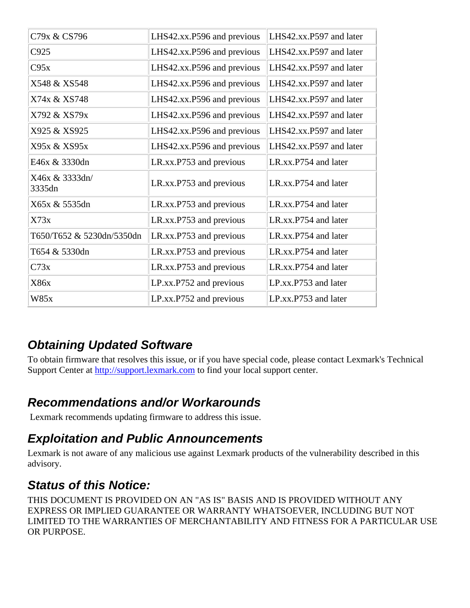| C79x & CS796              | LHS42.xx.P596 and previous | LHS42.xx.P597 and later |
|---------------------------|----------------------------|-------------------------|
| C925                      | LHS42.xx.P596 and previous | LHS42.xx.P597 and later |
| C95x                      | LHS42.xx.P596 and previous | LHS42.xx.P597 and later |
| X548 & XS548              | LHS42.xx.P596 and previous | LHS42.xx.P597 and later |
| X74x & XS748              | LHS42.xx.P596 and previous | LHS42.xx.P597 and later |
| X792 & XS79x              | LHS42.xx.P596 and previous | LHS42.xx.P597 and later |
| X925 & XS925              | LHS42.xx.P596 and previous | LHS42.xx.P597 and later |
| X95x & XS95x              | LHS42.xx.P596 and previous | LHS42.xx.P597 and later |
| E46x & 3330dn             | LR.xx.P753 and previous    | LR.xx.P754 and later    |
| X46x & 3333dn/<br>3335dn  | LR.xx.P753 and previous    | LR.xx.P754 and later    |
| X65x & 5535dn             | LR.xx.P753 and previous    | LR.xx.P754 and later    |
| X73x                      | LR.xx.P753 and previous    | LR.xx.P754 and later    |
| T650/T652 & 5230dn/5350dn | LR.xx.P753 and previous    | LR.xx.P754 and later    |
| T654 & 5330dn             | LR.xx.P753 and previous    | LR.xx.P754 and later    |
| C73x                      | LR.xx.P753 and previous    | LR.xx.P754 and later    |
| X86x                      | LP.xx.P752 and previous    | LP.xx.P753 and later    |
| W85x                      | LP.xx.P752 and previous    | LP.xx.P753 and later    |

### *Obtaining Updated Software*

To obtain firmware that resolves this issue, or if you have special code, please contact Lexmark's Technical Support Center at [http://support.lexmark.com](http://support.lexmark.com/) to find your local support center.

### *Recommendations and/or Workarounds*

Lexmark recommends updating firmware to address this issue.

### *Exploitation and Public Announcements*

Lexmark is not aware of any malicious use against Lexmark products of the vulnerability described in this advisory.

## *Status of this Notice:*

THIS DOCUMENT IS PROVIDED ON AN "AS IS" BASIS AND IS PROVIDED WITHOUT ANY EXPRESS OR IMPLIED GUARANTEE OR WARRANTY WHATSOEVER, INCLUDING BUT NOT LIMITED TO THE WARRANTIES OF MERCHANTABILITY AND FITNESS FOR A PARTICULAR USE OR PURPOSE.